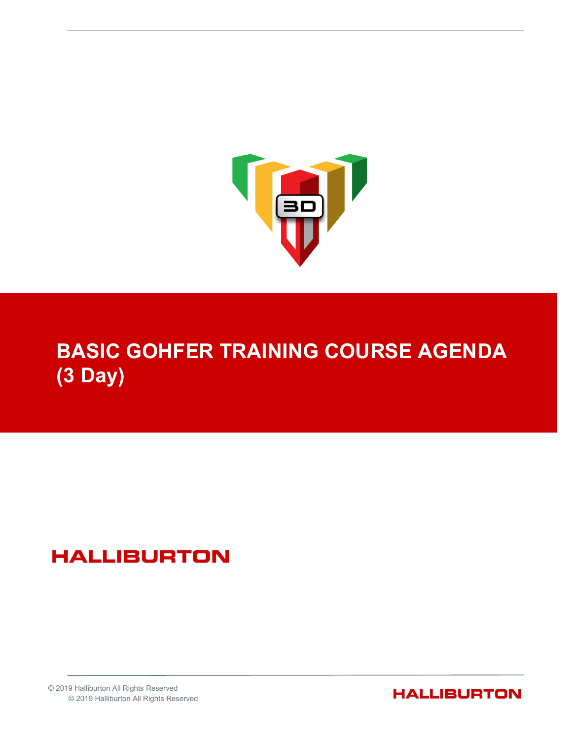

# BASIC GOHFER TRAINING COURSE AGENDA (3 Day)

## **HALLIBURTON**

© 2019 Halliburton All Rights Reserved © 2019 Halliburton All Rights Reserved

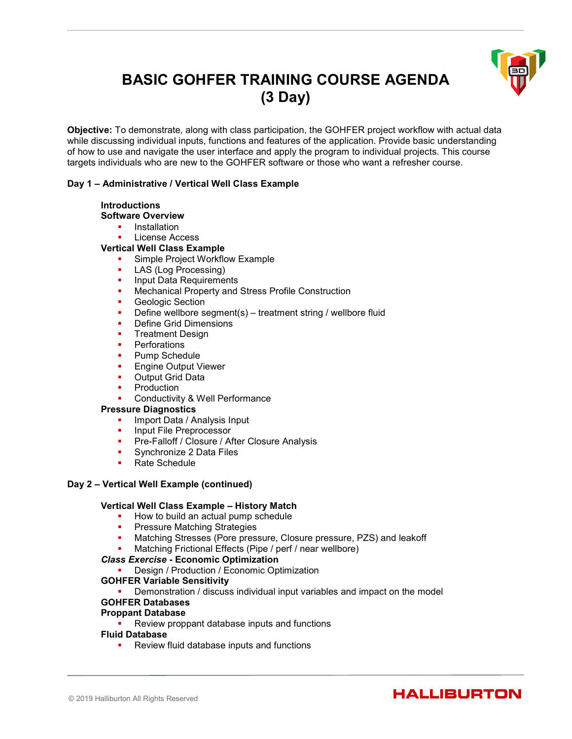### BASIC GOHFER TRAINING COURSE AGENDA (3 Day)



Objective: To demonstrate, along with class participation, the GOHFER project workflow with actual data while discussing individual inputs, functions and features of the application. Provide basic understanding of how to use and navigate the user interface and apply the program to individual projects. This course targets individuals who are new to the GOHFER software or those who want a refresher course.

#### Day 1 – Administrative / Vertical Well Class Example

#### **Introductions**

- Software Overview
	- **Installation**
	- License Access

#### Vertical Well Class Example

- Simple Project Workflow Example
- LAS (Log Processing)
- **Input Data Requirements**
- Mechanical Property and Stress Profile Construction
- **Geologic Section**
- **•** Define wellbore segment(s) treatment string / wellbore fluid
- **•** Define Grid Dimensions
- **Treatment Design**
- **•** Perforations
- **Pump Schedule**
- **Engine Output Viewer**
- **Output Grid Data**
- **Production**
- Conductivity & Well Performance

#### Pressure Diagnostics

- Import Data / Analysis Input
- Input File Preprocessor
- **Pre-Falloff / Closure / After Closure Analysis**
- **Synchronize 2 Data Files**
- Rate Schedule

#### Day 2 – Vertical Well Example (continued)

#### Vertical Well Class Example – History Match

- How to build an actual pump schedule<br>■ Pressure Matching Strategies
- Pressure Matching Strategies
- **Matching Stresses (Pore pressure, Closure pressure, PZS) and leakoff**
- Matching Frictional Effects (Pipe / perf / near wellbore)

#### Class Exercise - Economic Optimization

- **-** Design / Production / Economic Optimization
- GOHFER Variable Sensitivity
	- **•** Demonstration / discuss individual input variables and impact on the model
- GOHFER Databases

#### Proppant Database

Review proppant database inputs and functions

#### Fluid Database

Review fluid database inputs and functions

### **HALLIBURTON**